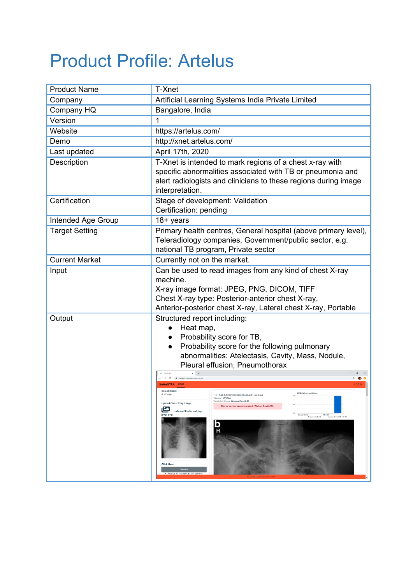## Product Profile: Artelus

| <b>Product Name</b>   | T-Xnet                                                                                                                                                                                                                                                                                                                                                                                                                                                                                                                                                                                                                                                                                                                                                                                                                                                                                                                                                       |
|-----------------------|--------------------------------------------------------------------------------------------------------------------------------------------------------------------------------------------------------------------------------------------------------------------------------------------------------------------------------------------------------------------------------------------------------------------------------------------------------------------------------------------------------------------------------------------------------------------------------------------------------------------------------------------------------------------------------------------------------------------------------------------------------------------------------------------------------------------------------------------------------------------------------------------------------------------------------------------------------------|
| Company               | Artificial Learning Systems India Private Limited                                                                                                                                                                                                                                                                                                                                                                                                                                                                                                                                                                                                                                                                                                                                                                                                                                                                                                            |
| Company HQ            | Bangalore, India                                                                                                                                                                                                                                                                                                                                                                                                                                                                                                                                                                                                                                                                                                                                                                                                                                                                                                                                             |
| Version               | 1                                                                                                                                                                                                                                                                                                                                                                                                                                                                                                                                                                                                                                                                                                                                                                                                                                                                                                                                                            |
| Website               | https://artelus.com/                                                                                                                                                                                                                                                                                                                                                                                                                                                                                                                                                                                                                                                                                                                                                                                                                                                                                                                                         |
| Demo                  | http://xnet.artelus.com/                                                                                                                                                                                                                                                                                                                                                                                                                                                                                                                                                                                                                                                                                                                                                                                                                                                                                                                                     |
| Last updated          | April 17th, 2020                                                                                                                                                                                                                                                                                                                                                                                                                                                                                                                                                                                                                                                                                                                                                                                                                                                                                                                                             |
| Description           | T-Xnet is intended to mark regions of a chest x-ray with<br>specific abnormalities associated with TB or pneumonia and<br>alert radiologists and clinicians to these regions during image<br>interpretation.                                                                                                                                                                                                                                                                                                                                                                                                                                                                                                                                                                                                                                                                                                                                                 |
| Certification         | Stage of development: Validation<br>Certification: pending                                                                                                                                                                                                                                                                                                                                                                                                                                                                                                                                                                                                                                                                                                                                                                                                                                                                                                   |
| Intended Age Group    | $18 + \text{years}$                                                                                                                                                                                                                                                                                                                                                                                                                                                                                                                                                                                                                                                                                                                                                                                                                                                                                                                                          |
| <b>Target Setting</b> | Primary health centres, General hospital (above primary level),<br>Teleradiology companies, Government/public sector, e.g.<br>national TB program, Private sector                                                                                                                                                                                                                                                                                                                                                                                                                                                                                                                                                                                                                                                                                                                                                                                            |
| <b>Current Market</b> | Currently not on the market.                                                                                                                                                                                                                                                                                                                                                                                                                                                                                                                                                                                                                                                                                                                                                                                                                                                                                                                                 |
| Input                 | Can be used to read images from any kind of chest X-ray<br>machine.<br>X-ray image format: JPEG, PNG, DICOM, TIFF<br>Chest X-ray type: Posterior-anterior chest X-ray,<br>Anterior-posterior chest X-ray, Lateral chest X-ray, Portable                                                                                                                                                                                                                                                                                                                                                                                                                                                                                                                                                                                                                                                                                                                      |
| Output                | Structured report including:<br>Heat map,<br>Probability score for TB,<br>Probability score for the following pulmonary<br>abnormalities: Atelectasis, Cavity, Mass, Nodule,<br>Pleural effusion, Pneumothorax<br>$\vec{x}$ $\vec{v}$<br>$\alpha$<br>a sahastra.artelus.com/xr<br>LOGIN<br><b>SAHASTRA</b><br><b>Select Model</b><br><b>WVNet's level confide</b><br>® wvret<br>File: 1-s2.0-S0929664620300449-gr2_lrg-b.jpg<br>1.0<br>Disease: WVNet<br>Predicted Class: Wuhan Covid-19<br><b>Upload Chest Xray Image</b><br>Doctor review recommended (Wuhan Covid-19).<br>(allowed file format jpg,<br>$\begin{tabular}{ l l } \hline 0.0 & \textcolor{red}{\overline{\textbf{Normal 0.0\%}}}} \\ \hline \end{tabular} \begin{tabular}{ l l } \hline \textbf{Normal 0.0\%}} \\ \hline \end{tabular}$<br>jpeg, png)<br>TB 0.0%<br>Wahan Covid-19 100.0%<br>b<br>$\overline{\mathsf{R}}$<br><b>Click Here</b><br>Predict<br>Artelus AI model can be used to |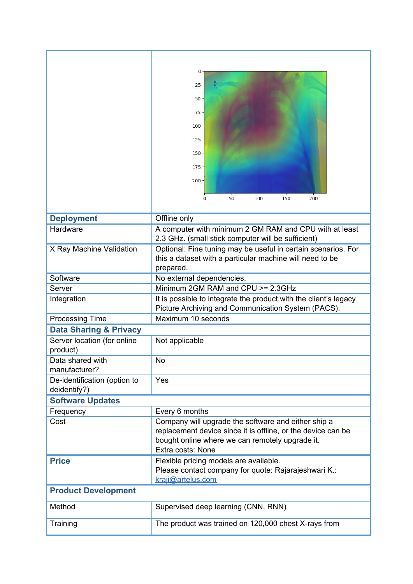|                                              | 0<br>25<br>50<br>75<br>$100 -$<br>125<br>150<br>$175 -$<br>200<br>50<br>$\Omega$<br>100<br>150<br>200                                                                                       |  |
|----------------------------------------------|---------------------------------------------------------------------------------------------------------------------------------------------------------------------------------------------|--|
| <b>Deployment</b>                            | Offline only                                                                                                                                                                                |  |
| Hardware                                     | A computer with minimum 2 GM RAM and CPU with at least<br>2.3 GHz. (small stick computer will be sufficient)                                                                                |  |
| X Ray Machine Validation                     | Optional: Fine tuning may be useful in certain scenarios. For<br>this a dataset with a particular machine will need to be<br>prepared.                                                      |  |
| Software                                     | No external dependencies.                                                                                                                                                                   |  |
| Server                                       | Minimum 2GM RAM and CPU >= 2.3GHz                                                                                                                                                           |  |
| Integration                                  | It is possible to integrate the product with the client's legacy<br>Picture Archiving and Communication System (PACS).                                                                      |  |
| <b>Processing Time</b>                       | Maximum 10 seconds                                                                                                                                                                          |  |
| <b>Data Sharing &amp; Privacy</b>            |                                                                                                                                                                                             |  |
| Server location (for online<br>product)      | Not applicable                                                                                                                                                                              |  |
| Data shared with<br>manufacturer?            | No                                                                                                                                                                                          |  |
| De-identification (option to<br>deidentify?) | Yes                                                                                                                                                                                         |  |
| <b>Software Updates</b>                      |                                                                                                                                                                                             |  |
| Frequency                                    | Every 6 months                                                                                                                                                                              |  |
| Cost                                         | Company will upgrade the software and either ship a<br>replacement device since it is offline, or the device can be<br>bought online where we can remotely upgrade it.<br>Extra costs: None |  |
| <b>Price</b>                                 | Flexible pricing models are available.<br>Please contact company for quote: Rajarajeshwari K.:<br>kraji@artelus.com                                                                         |  |
| <b>Product Development</b>                   |                                                                                                                                                                                             |  |
| Method                                       | Supervised deep learning (CNN, RNN)                                                                                                                                                         |  |
| Training                                     | The product was trained on 120,000 chest X-rays from                                                                                                                                        |  |